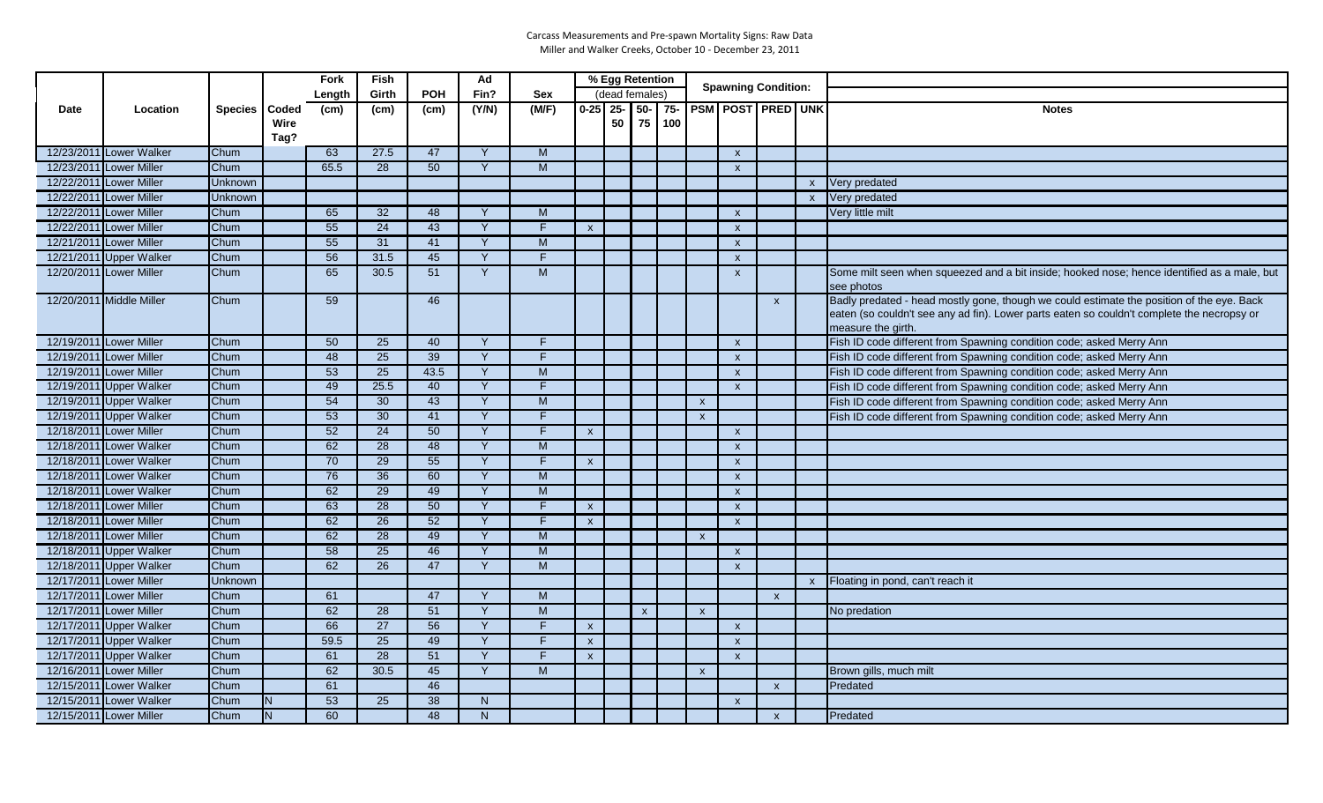|             |                          |                 |      | Fork            | Fish              |                 | Ad             |                |              | % Egg Retention |              |     |              | <b>Spawning Condition:</b> |              |              |                                                                                                                                                                                                               |
|-------------|--------------------------|-----------------|------|-----------------|-------------------|-----------------|----------------|----------------|--------------|-----------------|--------------|-----|--------------|----------------------------|--------------|--------------|---------------------------------------------------------------------------------------------------------------------------------------------------------------------------------------------------------------|
|             |                          |                 |      | Length          | Girth             | <b>POH</b>      | Fin?           | <b>Sex</b>     |              | (dead females)  |              |     |              |                            |              |              |                                                                                                                                                                                                               |
| <b>Date</b> | Location                 | Species   Coded |      | (cm)            | (c <sub>m</sub> ) | (cm)            | (Y/N)          | (M/F)          | $0-25$ 25-   |                 | $50 -$       |     |              | 75- PSM POST PRED UNK      |              |              | <b>Notes</b>                                                                                                                                                                                                  |
|             |                          |                 | Wire |                 |                   |                 |                |                |              | 50              | 75           | 100 |              |                            |              |              |                                                                                                                                                                                                               |
|             |                          |                 | Tag? |                 |                   |                 |                |                |              |                 |              |     |              |                            |              |              |                                                                                                                                                                                                               |
|             | 12/23/2011 Lower Walker  | Chum            |      | 63              | 27.5              | 47              | Y              | M              |              |                 |              |     |              | $\boldsymbol{\mathsf{x}}$  |              |              |                                                                                                                                                                                                               |
|             | 12/23/2011 Lower Miller  | Chum            |      | 65.5            | 28                | 50              | Y              | M              |              |                 |              |     |              | $\boldsymbol{\mathsf{x}}$  |              |              |                                                                                                                                                                                                               |
|             | 12/22/2011 Lower Miller  | Unknown         |      |                 |                   |                 |                |                |              |                 |              |     |              |                            |              | $\mathsf{x}$ | Very predated                                                                                                                                                                                                 |
|             | 12/22/2011 Lower Miller  | Unknown         |      |                 |                   |                 |                |                |              |                 |              |     |              |                            |              | $\mathsf{x}$ | Very predated                                                                                                                                                                                                 |
|             | 12/22/2011 Lower Miller  | Chum            |      | 65              | 32                | 48              | $\mathsf{Y}$   | M              |              |                 |              |     |              | $\boldsymbol{\mathsf{x}}$  |              |              | Very little milt                                                                                                                                                                                              |
|             | 12/22/2011 Lower Miller  | Chum            |      | 55              | 24                | 43              | $\mathsf{Y}$   | F.             | $\mathsf{x}$ |                 |              |     |              | $\boldsymbol{\mathsf{x}}$  |              |              |                                                                                                                                                                                                               |
|             | 12/21/2011 Lower Miller  | Chum            |      | 55              | 31                | 41              | Y              | M              |              |                 |              |     |              | $\mathsf{x}$               |              |              |                                                                                                                                                                                                               |
|             | 12/21/2011 Upper Walker  | Chum            |      | 56              | 31.5              | 45              | Y              | F.             |              |                 |              |     |              | $\boldsymbol{\mathsf{x}}$  |              |              |                                                                                                                                                                                                               |
|             | 12/20/2011 Lower Miller  | Chum            |      | 65              | 30.5              | 51              | Y              | M              |              |                 |              |     |              | $\boldsymbol{\mathsf{x}}$  |              |              | Some milt seen when squeezed and a bit inside; hooked nose; hence identified as a male, but<br>see photos                                                                                                     |
|             | 12/20/2011 Middle Miller | Chum            |      | 59              |                   | 46              |                |                |              |                 |              |     |              |                            | $\mathsf{x}$ |              | Badly predated - head mostly gone, though we could estimate the position of the eye. Back<br>eaten (so couldn't see any ad fin). Lower parts eaten so couldn't complete the necropsy or<br>measure the girth. |
|             | 12/19/2011 Lower Miller  | Chum            |      | 50              | 25                | 40              | Y              | F              |              |                 |              |     |              | $\mathsf{x}$               |              |              | Fish ID code different from Spawning condition code; asked Merry Ann                                                                                                                                          |
|             | 12/19/2011 Lower Miller  | Chum            |      | 48              | 25                | 39              | Y              | F.             |              |                 |              |     |              | $\boldsymbol{\mathsf{x}}$  |              |              | Fish ID code different from Spawning condition code; asked Merry Ann                                                                                                                                          |
|             | 12/19/2011 Lower Miller  | Chum            |      | 53              | 25                | 43.5            | Y              | M              |              |                 |              |     |              | $\boldsymbol{\mathsf{x}}$  |              |              | Fish ID code different from Spawning condition code; asked Merry Ann                                                                                                                                          |
|             | 12/19/2011 Upper Walker  | Chum            |      | 49              | 25.5              | 40              | Y              | F.             |              |                 |              |     |              | $\mathsf{x}$               |              |              | Fish ID code different from Spawning condition code; asked Merry Ann                                                                                                                                          |
|             | 12/19/2011 Upper Walker  | Chum            |      | $\overline{54}$ | 30                | 43              | Y              | M              |              |                 |              |     | $\mathsf{x}$ |                            |              |              | Fish ID code different from Spawning condition code; asked Merry Ann                                                                                                                                          |
|             | 12/19/2011 Upper Walker  | Chum            |      | 53              | 30                | 41              | Y              | F.             |              |                 |              |     | $\mathsf{x}$ |                            |              |              | Fish ID code different from Spawning condition code; asked Merry Ann                                                                                                                                          |
|             | 12/18/2011 Lower Miller  | Chum            |      | 52              | 24                | 50              | $\mathsf{Y}$   | F.             | $\mathsf{x}$ |                 |              |     |              | $\mathsf{x}$               |              |              |                                                                                                                                                                                                               |
|             | 12/18/2011 Lower Walker  | Chum            |      | 62              | $\overline{28}$   | 48              | $\overline{Y}$ | $\overline{M}$ |              |                 |              |     |              | $\boldsymbol{\mathsf{x}}$  |              |              |                                                                                                                                                                                                               |
|             | 12/18/2011 Lower Walker  | Chum            |      | 70              | 29                | 55              | Y              | F.             | $\mathsf{x}$ |                 |              |     |              | $\boldsymbol{\mathsf{x}}$  |              |              |                                                                                                                                                                                                               |
|             | 12/18/2011 Lower Walker  | Chum            |      | $\overline{76}$ | 36                | 60              | Y              | M              |              |                 |              |     |              | $\boldsymbol{\mathsf{x}}$  |              |              |                                                                                                                                                                                                               |
|             | 12/18/2011 Lower Walker  | Chum            |      | 62              | 29                | 49              | Y              | $\overline{M}$ |              |                 |              |     |              | $\mathsf{x}$               |              |              |                                                                                                                                                                                                               |
|             | 12/18/2011 Lower Miller  | Chum            |      | 63              | 28                | 50              | Y              | $\overline{F}$ | $\mathsf{x}$ |                 |              |     |              | $\boldsymbol{\mathsf{x}}$  |              |              |                                                                                                                                                                                                               |
|             | 12/18/2011 Lower Miller  | Chum            |      | 62              | $\overline{26}$   | 52              | Y              | F.             | $\mathsf{x}$ |                 |              |     |              | $\mathsf{x}$               |              |              |                                                                                                                                                                                                               |
|             | 12/18/2011 Lower Miller  | Chum            |      | 62              | $\overline{28}$   | 49              | Y              | M              |              |                 |              |     | $\mathsf{x}$ |                            |              |              |                                                                                                                                                                                                               |
|             | 12/18/2011 Upper Walker  | Chum            |      | 58              | $\overline{25}$   | 46              | $\mathsf{Y}$   | M              |              |                 |              |     |              | $\boldsymbol{\mathsf{x}}$  |              |              |                                                                                                                                                                                                               |
|             | 12/18/2011 Upper Walker  | Chum            |      | 62              | 26                | 47              | $\mathsf{Y}$   | M              |              |                 |              |     |              | $\mathsf{x}$               |              |              |                                                                                                                                                                                                               |
|             | 12/17/2011 Lower Miller  | Unknown         |      |                 |                   |                 |                |                |              |                 |              |     |              |                            |              | $\mathsf{x}$ | Floating in pond, can't reach it                                                                                                                                                                              |
|             | 12/17/2011 Lower Miller  | Chum            |      | 61              |                   | 47              | Y              | $\overline{M}$ |              |                 |              |     |              |                            | $\mathsf{x}$ |              |                                                                                                                                                                                                               |
|             | 12/17/2011 Lower Miller  | Chum            |      | 62              | 28                | 51              | Y              | M              |              |                 | $\mathsf{x}$ |     | $\mathbf{x}$ |                            |              |              | No predation                                                                                                                                                                                                  |
|             | 12/17/2011 Upper Walker  | Chum            |      | 66              | 27                | 56              | Y              | F.             | $\mathsf{x}$ |                 |              |     |              | $\boldsymbol{\mathsf{x}}$  |              |              |                                                                                                                                                                                                               |
|             | 12/17/2011 Upper Walker  | Chum            |      | 59.5            | 25                | 49              | Y              | F.             | $\mathsf{x}$ |                 |              |     |              | $\boldsymbol{\mathsf{x}}$  |              |              |                                                                                                                                                                                                               |
|             | 12/17/2011 Upper Walker  | Chum            |      | 61              | 28                | 51              | Y              | F.             | $\mathsf{x}$ |                 |              |     |              | $\boldsymbol{\mathsf{x}}$  |              |              |                                                                                                                                                                                                               |
|             | 12/16/2011 Lower Miller  | Chum            |      | 62              | 30.5              | $\overline{45}$ | Y              | M              |              |                 |              |     | $\mathsf{x}$ |                            |              |              | Brown gills, much milt                                                                                                                                                                                        |
|             | 12/15/2011 Lower Walker  | Chum            |      | 61              |                   | 46              |                |                |              |                 |              |     |              |                            | $\mathsf{x}$ |              | Predated                                                                                                                                                                                                      |
|             | 12/15/2011 Lower Walker  | Chum            | IN.  | 53              | 25                | 38              | N              |                |              |                 |              |     |              | $\boldsymbol{\mathsf{x}}$  |              |              |                                                                                                                                                                                                               |
|             | 12/15/2011 Lower Miller  | Chum            | IN.  | 60              |                   | 48              | N              |                |              |                 |              |     |              |                            | $\mathsf{x}$ |              | Predated                                                                                                                                                                                                      |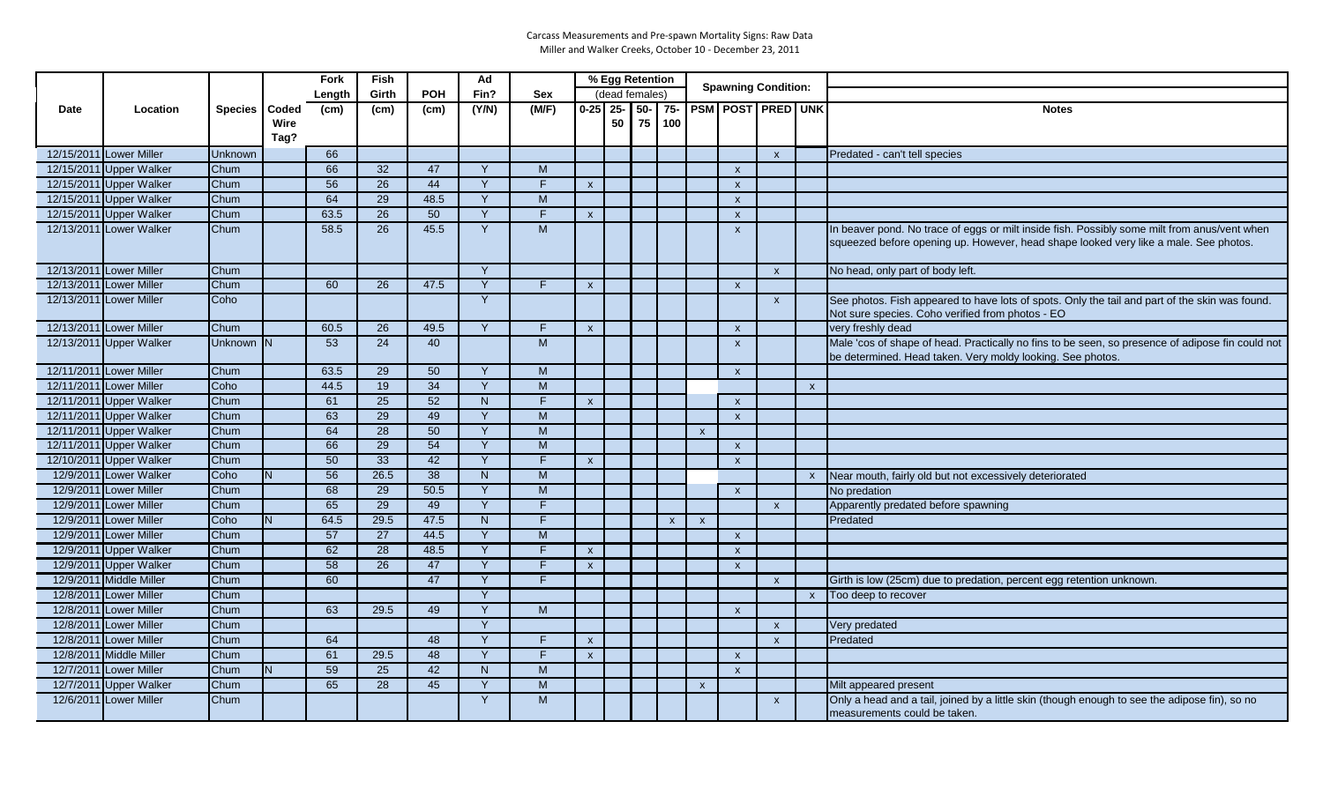|             |                         |               |          | Fork            | Fish            |                 | Ad           |                |                           | % Egg Retention |  |              |                           | <b>Spawning Condition:</b> |                           |              |                                                                                                                                                                                      |
|-------------|-------------------------|---------------|----------|-----------------|-----------------|-----------------|--------------|----------------|---------------------------|-----------------|--|--------------|---------------------------|----------------------------|---------------------------|--------------|--------------------------------------------------------------------------------------------------------------------------------------------------------------------------------------|
|             |                         |               |          | Length          | Girth           | <b>POH</b>      | Fin?         | <b>Sex</b>     |                           | (dead females)  |  |              |                           |                            |                           |              |                                                                                                                                                                                      |
| <b>Date</b> | Location                | Species Coded |          | (cm)            | (cm)            | (cm)            | (Y/N)        | (M/F)          | $0 - 25$ 25-              |                 |  | $50 - 75$    |                           |                            | <b>PSM POST PRED UNK</b>  |              | <b>Notes</b>                                                                                                                                                                         |
|             |                         |               | Wire     |                 |                 |                 |              |                |                           | 50              |  | 75 100       |                           |                            |                           |              |                                                                                                                                                                                      |
|             |                         |               | Tag?     |                 |                 |                 |              |                |                           |                 |  |              |                           |                            |                           |              |                                                                                                                                                                                      |
|             | 12/15/2011 Lower Miller | Unknown       |          | 66              |                 |                 |              |                |                           |                 |  |              |                           |                            | $\mathsf{x}$              |              | Predated - can't tell species                                                                                                                                                        |
|             | 12/15/2011 Upper Walker | Chum          |          | 66              | 32              | 47              | <sup>V</sup> | M              |                           |                 |  |              |                           | $\mathsf{x}$               |                           |              |                                                                                                                                                                                      |
|             | 12/15/2011 Upper Walker | Chum          |          | 56              | $\overline{26}$ | 44              | <sup>Y</sup> | F              | $\mathsf{x}$              |                 |  |              |                           | $\mathsf{x}$               |                           |              |                                                                                                                                                                                      |
|             | 12/15/2011 Upper Walker | Chum          |          | 64              | 29              | 48.5            | Y            | $\overline{M}$ |                           |                 |  |              |                           | $\mathsf{x}$               |                           |              |                                                                                                                                                                                      |
|             | 12/15/2011 Upper Walker | Chum          |          | 63.5            | 26              | 50              | Y            | F              | $\mathsf{x}$              |                 |  |              |                           | $\mathsf{x}$               |                           |              |                                                                                                                                                                                      |
|             | 12/13/2011 Lower Walker | Chum          |          | 58.5            | 26              | 45.5            | Y            | M              |                           |                 |  |              |                           | $\mathsf{x}$               |                           |              | In beaver pond. No trace of eggs or milt inside fish. Possibly some milt from anus/vent when<br>squeezed before opening up. However, head shape looked very like a male. See photos. |
|             | 12/13/2011 Lower Miller | Chum          |          |                 |                 |                 | $\vee$       |                |                           |                 |  |              |                           |                            | $\boldsymbol{\mathsf{x}}$ |              | No head, only part of body left.                                                                                                                                                     |
|             | 12/13/2011 Lower Miller | Chum          |          | 60              | 26              | 47.5            | $\vee$       | F.             | $\boldsymbol{\mathsf{X}}$ |                 |  |              |                           | $\boldsymbol{\mathsf{x}}$  |                           |              |                                                                                                                                                                                      |
|             | 12/13/2011 Lower Miller | Coho          |          |                 |                 |                 | Y            |                |                           |                 |  |              |                           |                            | $\mathsf{x}$              |              | See photos. Fish appeared to have lots of spots. Only the tail and part of the skin was found.                                                                                       |
|             |                         |               |          |                 |                 |                 |              |                |                           |                 |  |              |                           |                            |                           |              | Not sure species. Coho verified from photos - EO                                                                                                                                     |
|             | 12/13/2011 Lower Miller | Chum          |          | 60.5            | 26              | 49.5            | Y            | F.             | $\boldsymbol{\mathsf{x}}$ |                 |  |              |                           | $\mathsf{x}$               |                           |              | very freshly dead                                                                                                                                                                    |
|             | 12/13/2011 Upper Walker | Unknown N     |          | 53              | 24              | 40              |              | M              |                           |                 |  |              |                           | $\mathsf{x}$               |                           |              | Male 'cos of shape of head. Practically no fins to be seen, so presence of adipose fin could not<br>be determined. Head taken. Very moldy looking. See photos.                       |
|             | 12/11/2011 Lower Miller | Chum          |          | 63.5            | 29              | 50              | <sup>V</sup> | M              |                           |                 |  |              |                           | $\mathsf{x}$               |                           |              |                                                                                                                                                                                      |
|             | 12/11/2011 Lower Miller | Coho          |          | 44.5            | 19              | $\overline{34}$ | Y            | $\overline{M}$ |                           |                 |  |              |                           |                            |                           | $\mathsf{x}$ |                                                                                                                                                                                      |
|             | 12/11/2011 Upper Walker | Chum          |          | 61              | 25              | 52              | N            | Ē              | $\boldsymbol{\mathsf{x}}$ |                 |  |              |                           | $\mathsf{x}$               |                           |              |                                                                                                                                                                                      |
|             | 12/11/2011 Upper Walker | Chum          |          | 63              | 29              | 49              | Y            | M              |                           |                 |  |              |                           | $\mathsf{x}$               |                           |              |                                                                                                                                                                                      |
|             | 12/11/2011 Upper Walker | Chum          |          | 64              | 28              | 50              | $\mathsf{Y}$ | $\overline{M}$ |                           |                 |  |              | $\boldsymbol{\mathsf{x}}$ |                            |                           |              |                                                                                                                                                                                      |
|             | 12/11/2011 Upper Walker | Chum          |          | 66              | 29              | 54              | Y            | $\overline{M}$ |                           |                 |  |              |                           | $\mathsf{x}$               |                           |              |                                                                                                                                                                                      |
|             | 12/10/2011 Upper Walker | Chum          |          | $\overline{50}$ | 33              | 42              | $\mathbf{v}$ | $\overline{F}$ | $\pmb{\chi}$              |                 |  |              |                           | $\mathsf{x}$               |                           |              |                                                                                                                                                                                      |
|             | 12/9/2011 Lower Walker  | Coho          | <b>N</b> | 56              | 26.5            | 38              | N            | M              |                           |                 |  |              |                           |                            |                           | $\mathsf{x}$ | Near mouth, fairly old but not excessively deteriorated                                                                                                                              |
|             | 12/9/2011 Lower Miller  | Chum          |          | 68              | 29              | 50.5            | Y            | M              |                           |                 |  |              |                           | $\boldsymbol{\mathsf{x}}$  |                           |              | No predation                                                                                                                                                                         |
|             | 12/9/2011 Lower Miller  | Chum          |          | 65              | 29              | 49              | $\mathsf{Y}$ | Ē              |                           |                 |  |              |                           |                            | $\mathsf{x}$              |              | Apparently predated before spawning                                                                                                                                                  |
|             | 12/9/2011 Lower Miller  | Coho          |          | 64.5            | 29.5            | 47.5            | N            | $\overline{F}$ |                           |                 |  | $\mathsf{x}$ | $\boldsymbol{\mathsf{x}}$ |                            |                           |              | Predated                                                                                                                                                                             |
|             | 12/9/2011 Lower Miller  | Chum          |          | 57              | 27              | 44.5            | $\mathbf{v}$ | M              |                           |                 |  |              |                           | $\mathsf{x}$               |                           |              |                                                                                                                                                                                      |
|             | 12/9/2011 Upper Walker  | Chum          |          | 62              | 28              | 48.5            | Y            | F.             | $\mathsf{x}$              |                 |  |              |                           | $\mathsf{x}$               |                           |              |                                                                                                                                                                                      |
|             | 12/9/2011 Upper Walker  | Chum          |          | $\overline{58}$ | $\overline{26}$ | 47              | Y            | $\overline{F}$ | $\mathsf{x}$              |                 |  |              |                           | $\mathbf{x}$               |                           |              |                                                                                                                                                                                      |
|             | 12/9/2011 Middle Miller | Chum          |          | 60              |                 | 47              | Y            | F              |                           |                 |  |              |                           |                            | $\mathsf{x}$              |              | Girth is low (25cm) due to predation, percent egg retention unknown.                                                                                                                 |
|             | 12/8/2011 Lower Miller  | Chum          |          |                 |                 |                 | $\mathsf{Y}$ |                |                           |                 |  |              |                           |                            |                           | $\mathsf{x}$ | Too deep to recover                                                                                                                                                                  |
|             | 12/8/2011 Lower Miller  | Chum          |          | 63              | 29.5            | 49              | $\mathsf{Y}$ | M              |                           |                 |  |              |                           | $\mathsf{x}$               |                           |              |                                                                                                                                                                                      |
|             | 12/8/2011 Lower Miller  | Chum          |          |                 |                 |                 | $\mathsf{Y}$ |                |                           |                 |  |              |                           |                            | $\mathsf{x}$              |              | Very predated                                                                                                                                                                        |
|             | 12/8/2011 Lower Miller  | Chum          |          | 64              |                 | 48              | $\mathsf{v}$ | F              | $\boldsymbol{\mathsf{x}}$ |                 |  |              |                           |                            | $\mathsf{x}$              |              | Predated                                                                                                                                                                             |
|             | 12/8/2011 Middle Miller | Chum          |          | 61              | 29.5            | 48              | <b>Y</b>     | F              | $\mathsf{x}$              |                 |  |              |                           | $\mathsf{x}$               |                           |              |                                                                                                                                                                                      |
|             | 12/7/2011 Lower Miller  | Chum          |          | 59              | 25              | 42              | N            | M              |                           |                 |  |              |                           | $\boldsymbol{\mathsf{x}}$  |                           |              |                                                                                                                                                                                      |
|             | 12/7/2011 Upper Walker  | Chum          |          | 65              | 28              | 45              | $\mathsf{Y}$ | $\overline{M}$ |                           |                 |  |              | $\boldsymbol{\mathsf{x}}$ |                            |                           |              | Milt appeared present                                                                                                                                                                |
|             | 12/6/2011 Lower Miller  | Chum          |          |                 |                 |                 | Y            | M              |                           |                 |  |              |                           |                            | $\mathsf{x}$              |              | Only a head and a tail, joined by a little skin (though enough to see the adipose fin), so no<br>measurements could be taken.                                                        |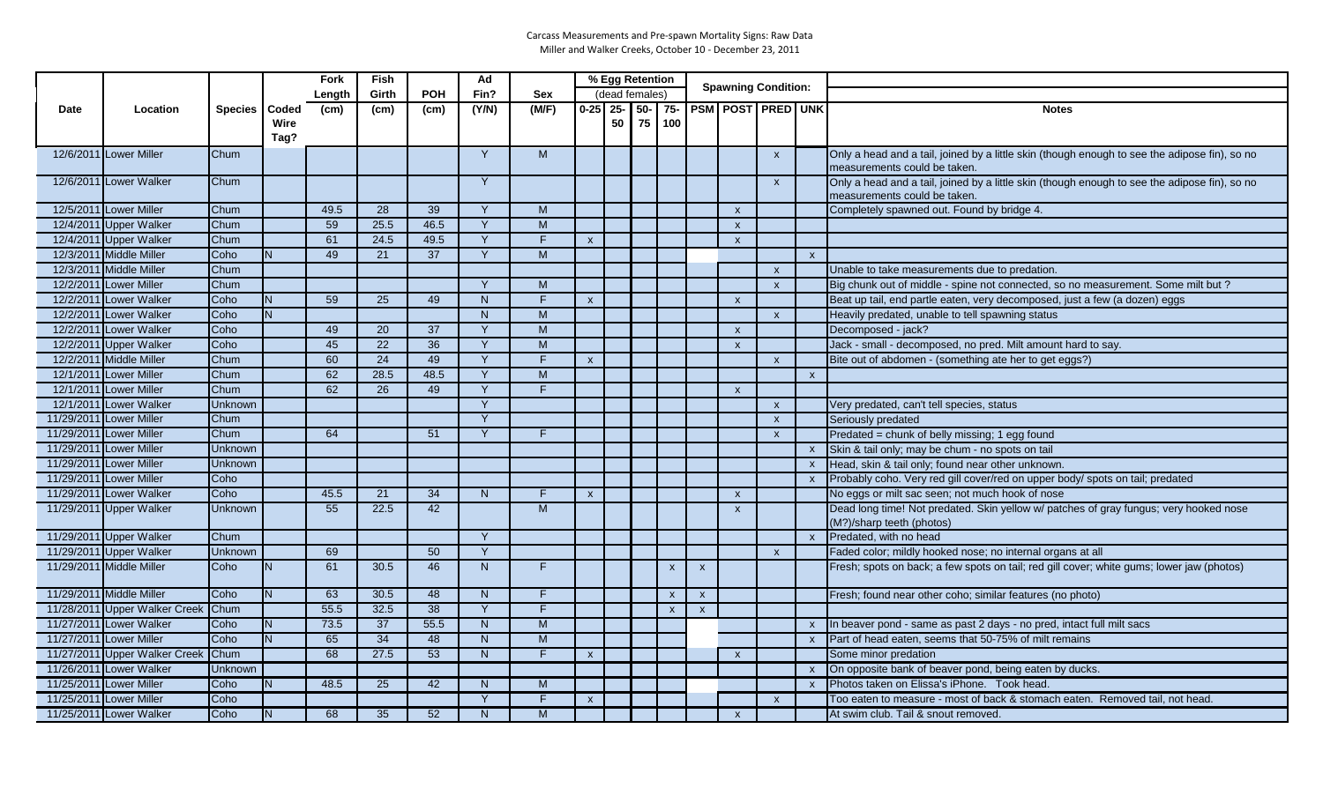| (dead females)<br>Girth<br><b>POH</b><br>Fin?<br><b>Sex</b><br>Length<br>$0-25$ 25-<br>75- PSM POST PRED UNK<br>(M/F)<br>$50 -$<br>(Y/N)<br>Location<br>Species   Coded<br>(cm)<br>(cm)<br><b>Notes</b><br><b>Date</b><br>(cm)<br>75<br>50 <sup>1</sup><br>100<br>Wire<br>Tag?<br>12/6/2011 Lower Miller<br>Y<br>M<br>Chum<br>Only a head and a tail, joined by a little skin (though enough to see the adipose fin), so no<br>$\mathsf{x}$<br>measurements could be taken.<br>Only a head and a tail, joined by a little skin (though enough to see the adipose fin), so no<br>12/6/2011 Lower Walker<br>Chum<br>Y<br>$\mathsf{x}$<br>measurements could be taken.<br>12/5/2011 Lower Miller<br>Chum<br>49.5<br>28<br>39<br>M<br>$\vee$<br>Completely spawned out. Found by bridge 4.<br>$\boldsymbol{\mathsf{x}}$<br>12/4/2011 Upper Walker<br>59<br>25.5<br>46.5<br>M<br>Chum<br>Y<br>$\boldsymbol{\mathsf{x}}$<br>12/4/2011 Upper Walker<br>24.5<br>49.5<br>Chum<br>61<br>Y<br>F.<br>$\boldsymbol{\mathsf{x}}$<br>$\boldsymbol{\mathsf{x}}$<br>12/3/2011 Middle Miller<br>M<br>Coho<br>49<br>21<br>37<br>Y<br>N.<br>$\mathsf{x}$<br>12/3/2011 Middle Miller<br>Chum<br>Unable to take measurements due to predation.<br>$\mathsf{x}$<br>12/2/2011 Lower Miller<br>M<br>Chum<br>$\vee$<br>Big chunk out of middle - spine not connected, so no measurement. Some milt but?<br>$\mathsf{x}$<br>12/2/2011 Lower Walker<br>Coho<br>59<br>25<br>49<br>N<br>F<br>Beat up tail, end partle eaten, very decomposed, just a few (a dozen) eggs<br>N.<br>$\boldsymbol{\mathsf{x}}$<br>$\boldsymbol{\mathsf{x}}$<br>12/2/2011 Lower Walker<br>M<br>Coho<br>N.<br>N<br>Heavily predated, unable to tell spawning status<br>$\mathsf{x}$<br>12/2/2011 Lower Walker<br>Coho<br>49<br>20<br>37<br>M<br>Decomposed - jack?<br>Y<br>$\mathsf{x}$<br>$\overline{45}$<br>$\overline{22}$<br>$\overline{36}$<br>Jack - small - decomposed, no pred. Milt amount hard to say.<br>12/2/2011 Upper Walker<br>M<br>Coho<br>Y<br>$\mathsf{x}$<br>60<br>24<br>12/2/2011 Middle Miller<br>Chum<br>49<br>Y<br>F<br>Bite out of abdomen - (something ate her to get eggs?)<br>$\mathsf{x}$<br>$\mathsf{x}$<br>12/1/2011 Lower Miller<br>62<br>28.5<br>48.5<br>Y<br>M<br>Chum<br>$\mathsf{x}$<br>62<br>12/1/2011 Lower Miller<br>Chum<br>26<br>49<br>Y<br>F<br>$\mathsf{x}$<br>12/1/2011 Lower Walker<br>Y<br>Unknown<br>Very predated, can't tell species, status<br>$\mathsf{x}$<br>11/29/2011 Lower Miller<br>$\mathsf{Y}$<br>Chum<br>Seriously predated<br>$\mathsf{x}$<br>11/29/2011 Lower Miller<br>Chum<br>64<br>51<br>F.<br>Predated = chunk of belly missing; 1 egg found<br>Y<br>$\mathsf{x}$<br>11/29/2011 Lower Miller<br>Skin & tail only; may be chum - no spots on tail<br><b>Unknown</b><br>$\mathsf{x}$<br>11/29/2011 Lower Miller<br>Unknown<br>Head, skin & tail only; found near other unknown.<br>$\mathsf{x}$<br>11/29/2011 Lower Miller<br>Probably coho. Very red gill cover/red on upper body/ spots on tail; predated<br>Coho<br>$\mathsf{x}$<br>45.5<br>21<br>34<br>11/29/2011 Lower Walker<br>Coho<br>N<br>F<br>No eggs or milt sac seen; not much hook of nose<br>$\boldsymbol{\mathsf{x}}$<br>$\boldsymbol{\mathsf{x}}$<br>11/29/2011 Upper Walker<br>55<br>22.5<br>42<br>M<br>Dead long time! Not predated. Skin yellow w/ patches of gray fungus; very hooked nose<br><b>Unknown</b><br>$\mathsf{x}$<br>(M?)/sharp teeth (photos)<br>11/29/2011 Upper Walker<br>Chum<br>Predated, with no head<br>Y<br>$\mathsf{x}$<br>11/29/2011 Upper Walker<br>69<br>50<br>Unknown<br>Y<br>Faded color; mildly hooked nose; no internal organs at all<br>$\mathsf{x}$<br>11/29/2011 Middle Miller<br>30.5<br>46<br>N<br>F.<br>Fresh; spots on back; a few spots on tail; red gill cover; white gums; lower jaw (photos)<br>Coho<br>IN.<br>61<br>$\mathsf{x}$<br>$\mathsf{x}$<br>11/29/2011 Middle Miller<br>Coho<br>63<br>30.5<br>48<br>N<br>N.<br>F<br>Fresh; found near other coho; similar features (no photo)<br>$\mathbf{x}$<br>$\mathbf{x}$<br>11/28/2011 Upper Walker Creek<br>55.5<br>38<br>Y<br>F.<br>Chum<br>32.5<br>$\boldsymbol{\mathsf{x}}$<br>$\boldsymbol{\mathsf{x}}$<br>11/27/2011 Lower Walker<br>73.5<br>37<br>55.5<br>N<br>M<br>Coho<br>In beaver pond - same as past 2 days - no pred, intact full milt sacs<br>N<br>$\mathsf{x}$<br>34<br>Part of head eaten, seems that 50-75% of milt remains<br>11/27/2011 Lower Miller<br>Coho<br>N<br>65<br>48<br>N<br>M<br>$\mathsf{x}$<br>68<br>F.<br>11/27/2011 Upper Walker Creek<br><b>Chum</b><br>27.5<br>53<br>N<br>Some minor predation<br>$\mathsf{x}$<br>$\mathbf{x}$<br>11/26/2011 Lower Walker<br>On opposite bank of beaver pond, being eaten by ducks.<br>Unknown<br>$\mathsf{X}$<br>Photos taken on Elissa's iPhone. Took head.<br>11/25/2011 Lower Miller<br>48.5<br>25<br>42<br>M<br>Coho<br>N<br>$\mathsf{x}$<br>F<br>11/25/2011 Lower Miller<br>Coho<br>Y<br>Too eaten to measure - most of back & stomach eaten. Removed tail, not head.<br>$\mathsf{x}$<br>$\mathsf{x}$<br>11/25/2011 Lower Walker<br>Coho<br>M<br>N.<br>68<br>35<br>52<br>N<br>At swim club. Tail & snout removed.<br>$\mathsf{x}$ |  |  | Fork | <b>Fish</b> | Ad |  | % Egg Retention |  |  | <b>Spawning Condition:</b> |  |  |
|------------------------------------------------------------------------------------------------------------------------------------------------------------------------------------------------------------------------------------------------------------------------------------------------------------------------------------------------------------------------------------------------------------------------------------------------------------------------------------------------------------------------------------------------------------------------------------------------------------------------------------------------------------------------------------------------------------------------------------------------------------------------------------------------------------------------------------------------------------------------------------------------------------------------------------------------------------------------------------------------------------------------------------------------------------------------------------------------------------------------------------------------------------------------------------------------------------------------------------------------------------------------------------------------------------------------------------------------------------------------------------------------------------------------------------------------------------------------------------------------------------------------------------------------------------------------------------------------------------------------------------------------------------------------------------------------------------------------------------------------------------------------------------------------------------------------------------------------------------------------------------------------------------------------------------------------------------------------------------------------------------------------------------------------------------------------------------------------------------------------------------------------------------------------------------------------------------------------------------------------------------------------------------------------------------------------------------------------------------------------------------------------------------------------------------------------------------------------------------------------------------------------------------------------------------------------------------------------------------------------------------------------------------------------------------------------------------------------------------------------------------------------------------------------------------------------------------------------------------------------------------------------------------------------------------------------------------------------------------------------------------------------------------------------------------------------------------------------------------------------------------------------------------------------------------------------------------------------------------------------------------------------------------------------------------------------------------------------------------------------------------------------------------------------------------------------------------------------------------------------------------------------------------------------------------------------------------------------------------------------------------------------------------------------------------------------------------------------------------------------------------------------------------------------------------------------------------------------------------------------------------------------------------------------------------------------------------------------------------------------------------------------------------------------------------------------------------------------------------------------------------------------------------------------------------------------------------------------------------------------------------------------------------------------------------------------------------------------------------------------------------------------------------------------------------------------------------------------------------------------------------------------------------------------------------------------------------------------------------------------------------------------------------------------------------------------------------------------------------------------------------------------------------------------------------------------------------------------------------------------------------------------------------------------------------------------------------------------------------------------------------------------------------------------------------------------------------------------------------------------------------------------------------------------------|--|--|------|-------------|----|--|-----------------|--|--|----------------------------|--|--|
|                                                                                                                                                                                                                                                                                                                                                                                                                                                                                                                                                                                                                                                                                                                                                                                                                                                                                                                                                                                                                                                                                                                                                                                                                                                                                                                                                                                                                                                                                                                                                                                                                                                                                                                                                                                                                                                                                                                                                                                                                                                                                                                                                                                                                                                                                                                                                                                                                                                                                                                                                                                                                                                                                                                                                                                                                                                                                                                                                                                                                                                                                                                                                                                                                                                                                                                                                                                                                                                                                                                                                                                                                                                                                                                                                                                                                                                                                                                                                                                                                                                                                                                                                                                                                                                                                                                                                                                                                                                                                                                                                                                                                                                                                                                                                                                                                                                                                                                                                                                                                                                                                                                                                                              |  |  |      |             |    |  |                 |  |  |                            |  |  |
|                                                                                                                                                                                                                                                                                                                                                                                                                                                                                                                                                                                                                                                                                                                                                                                                                                                                                                                                                                                                                                                                                                                                                                                                                                                                                                                                                                                                                                                                                                                                                                                                                                                                                                                                                                                                                                                                                                                                                                                                                                                                                                                                                                                                                                                                                                                                                                                                                                                                                                                                                                                                                                                                                                                                                                                                                                                                                                                                                                                                                                                                                                                                                                                                                                                                                                                                                                                                                                                                                                                                                                                                                                                                                                                                                                                                                                                                                                                                                                                                                                                                                                                                                                                                                                                                                                                                                                                                                                                                                                                                                                                                                                                                                                                                                                                                                                                                                                                                                                                                                                                                                                                                                                              |  |  |      |             |    |  |                 |  |  |                            |  |  |
|                                                                                                                                                                                                                                                                                                                                                                                                                                                                                                                                                                                                                                                                                                                                                                                                                                                                                                                                                                                                                                                                                                                                                                                                                                                                                                                                                                                                                                                                                                                                                                                                                                                                                                                                                                                                                                                                                                                                                                                                                                                                                                                                                                                                                                                                                                                                                                                                                                                                                                                                                                                                                                                                                                                                                                                                                                                                                                                                                                                                                                                                                                                                                                                                                                                                                                                                                                                                                                                                                                                                                                                                                                                                                                                                                                                                                                                                                                                                                                                                                                                                                                                                                                                                                                                                                                                                                                                                                                                                                                                                                                                                                                                                                                                                                                                                                                                                                                                                                                                                                                                                                                                                                                              |  |  |      |             |    |  |                 |  |  |                            |  |  |
|                                                                                                                                                                                                                                                                                                                                                                                                                                                                                                                                                                                                                                                                                                                                                                                                                                                                                                                                                                                                                                                                                                                                                                                                                                                                                                                                                                                                                                                                                                                                                                                                                                                                                                                                                                                                                                                                                                                                                                                                                                                                                                                                                                                                                                                                                                                                                                                                                                                                                                                                                                                                                                                                                                                                                                                                                                                                                                                                                                                                                                                                                                                                                                                                                                                                                                                                                                                                                                                                                                                                                                                                                                                                                                                                                                                                                                                                                                                                                                                                                                                                                                                                                                                                                                                                                                                                                                                                                                                                                                                                                                                                                                                                                                                                                                                                                                                                                                                                                                                                                                                                                                                                                                              |  |  |      |             |    |  |                 |  |  |                            |  |  |
|                                                                                                                                                                                                                                                                                                                                                                                                                                                                                                                                                                                                                                                                                                                                                                                                                                                                                                                                                                                                                                                                                                                                                                                                                                                                                                                                                                                                                                                                                                                                                                                                                                                                                                                                                                                                                                                                                                                                                                                                                                                                                                                                                                                                                                                                                                                                                                                                                                                                                                                                                                                                                                                                                                                                                                                                                                                                                                                                                                                                                                                                                                                                                                                                                                                                                                                                                                                                                                                                                                                                                                                                                                                                                                                                                                                                                                                                                                                                                                                                                                                                                                                                                                                                                                                                                                                                                                                                                                                                                                                                                                                                                                                                                                                                                                                                                                                                                                                                                                                                                                                                                                                                                                              |  |  |      |             |    |  |                 |  |  |                            |  |  |
|                                                                                                                                                                                                                                                                                                                                                                                                                                                                                                                                                                                                                                                                                                                                                                                                                                                                                                                                                                                                                                                                                                                                                                                                                                                                                                                                                                                                                                                                                                                                                                                                                                                                                                                                                                                                                                                                                                                                                                                                                                                                                                                                                                                                                                                                                                                                                                                                                                                                                                                                                                                                                                                                                                                                                                                                                                                                                                                                                                                                                                                                                                                                                                                                                                                                                                                                                                                                                                                                                                                                                                                                                                                                                                                                                                                                                                                                                                                                                                                                                                                                                                                                                                                                                                                                                                                                                                                                                                                                                                                                                                                                                                                                                                                                                                                                                                                                                                                                                                                                                                                                                                                                                                              |  |  |      |             |    |  |                 |  |  |                            |  |  |
|                                                                                                                                                                                                                                                                                                                                                                                                                                                                                                                                                                                                                                                                                                                                                                                                                                                                                                                                                                                                                                                                                                                                                                                                                                                                                                                                                                                                                                                                                                                                                                                                                                                                                                                                                                                                                                                                                                                                                                                                                                                                                                                                                                                                                                                                                                                                                                                                                                                                                                                                                                                                                                                                                                                                                                                                                                                                                                                                                                                                                                                                                                                                                                                                                                                                                                                                                                                                                                                                                                                                                                                                                                                                                                                                                                                                                                                                                                                                                                                                                                                                                                                                                                                                                                                                                                                                                                                                                                                                                                                                                                                                                                                                                                                                                                                                                                                                                                                                                                                                                                                                                                                                                                              |  |  |      |             |    |  |                 |  |  |                            |  |  |
|                                                                                                                                                                                                                                                                                                                                                                                                                                                                                                                                                                                                                                                                                                                                                                                                                                                                                                                                                                                                                                                                                                                                                                                                                                                                                                                                                                                                                                                                                                                                                                                                                                                                                                                                                                                                                                                                                                                                                                                                                                                                                                                                                                                                                                                                                                                                                                                                                                                                                                                                                                                                                                                                                                                                                                                                                                                                                                                                                                                                                                                                                                                                                                                                                                                                                                                                                                                                                                                                                                                                                                                                                                                                                                                                                                                                                                                                                                                                                                                                                                                                                                                                                                                                                                                                                                                                                                                                                                                                                                                                                                                                                                                                                                                                                                                                                                                                                                                                                                                                                                                                                                                                                                              |  |  |      |             |    |  |                 |  |  |                            |  |  |
|                                                                                                                                                                                                                                                                                                                                                                                                                                                                                                                                                                                                                                                                                                                                                                                                                                                                                                                                                                                                                                                                                                                                                                                                                                                                                                                                                                                                                                                                                                                                                                                                                                                                                                                                                                                                                                                                                                                                                                                                                                                                                                                                                                                                                                                                                                                                                                                                                                                                                                                                                                                                                                                                                                                                                                                                                                                                                                                                                                                                                                                                                                                                                                                                                                                                                                                                                                                                                                                                                                                                                                                                                                                                                                                                                                                                                                                                                                                                                                                                                                                                                                                                                                                                                                                                                                                                                                                                                                                                                                                                                                                                                                                                                                                                                                                                                                                                                                                                                                                                                                                                                                                                                                              |  |  |      |             |    |  |                 |  |  |                            |  |  |
|                                                                                                                                                                                                                                                                                                                                                                                                                                                                                                                                                                                                                                                                                                                                                                                                                                                                                                                                                                                                                                                                                                                                                                                                                                                                                                                                                                                                                                                                                                                                                                                                                                                                                                                                                                                                                                                                                                                                                                                                                                                                                                                                                                                                                                                                                                                                                                                                                                                                                                                                                                                                                                                                                                                                                                                                                                                                                                                                                                                                                                                                                                                                                                                                                                                                                                                                                                                                                                                                                                                                                                                                                                                                                                                                                                                                                                                                                                                                                                                                                                                                                                                                                                                                                                                                                                                                                                                                                                                                                                                                                                                                                                                                                                                                                                                                                                                                                                                                                                                                                                                                                                                                                                              |  |  |      |             |    |  |                 |  |  |                            |  |  |
|                                                                                                                                                                                                                                                                                                                                                                                                                                                                                                                                                                                                                                                                                                                                                                                                                                                                                                                                                                                                                                                                                                                                                                                                                                                                                                                                                                                                                                                                                                                                                                                                                                                                                                                                                                                                                                                                                                                                                                                                                                                                                                                                                                                                                                                                                                                                                                                                                                                                                                                                                                                                                                                                                                                                                                                                                                                                                                                                                                                                                                                                                                                                                                                                                                                                                                                                                                                                                                                                                                                                                                                                                                                                                                                                                                                                                                                                                                                                                                                                                                                                                                                                                                                                                                                                                                                                                                                                                                                                                                                                                                                                                                                                                                                                                                                                                                                                                                                                                                                                                                                                                                                                                                              |  |  |      |             |    |  |                 |  |  |                            |  |  |
|                                                                                                                                                                                                                                                                                                                                                                                                                                                                                                                                                                                                                                                                                                                                                                                                                                                                                                                                                                                                                                                                                                                                                                                                                                                                                                                                                                                                                                                                                                                                                                                                                                                                                                                                                                                                                                                                                                                                                                                                                                                                                                                                                                                                                                                                                                                                                                                                                                                                                                                                                                                                                                                                                                                                                                                                                                                                                                                                                                                                                                                                                                                                                                                                                                                                                                                                                                                                                                                                                                                                                                                                                                                                                                                                                                                                                                                                                                                                                                                                                                                                                                                                                                                                                                                                                                                                                                                                                                                                                                                                                                                                                                                                                                                                                                                                                                                                                                                                                                                                                                                                                                                                                                              |  |  |      |             |    |  |                 |  |  |                            |  |  |
|                                                                                                                                                                                                                                                                                                                                                                                                                                                                                                                                                                                                                                                                                                                                                                                                                                                                                                                                                                                                                                                                                                                                                                                                                                                                                                                                                                                                                                                                                                                                                                                                                                                                                                                                                                                                                                                                                                                                                                                                                                                                                                                                                                                                                                                                                                                                                                                                                                                                                                                                                                                                                                                                                                                                                                                                                                                                                                                                                                                                                                                                                                                                                                                                                                                                                                                                                                                                                                                                                                                                                                                                                                                                                                                                                                                                                                                                                                                                                                                                                                                                                                                                                                                                                                                                                                                                                                                                                                                                                                                                                                                                                                                                                                                                                                                                                                                                                                                                                                                                                                                                                                                                                                              |  |  |      |             |    |  |                 |  |  |                            |  |  |
|                                                                                                                                                                                                                                                                                                                                                                                                                                                                                                                                                                                                                                                                                                                                                                                                                                                                                                                                                                                                                                                                                                                                                                                                                                                                                                                                                                                                                                                                                                                                                                                                                                                                                                                                                                                                                                                                                                                                                                                                                                                                                                                                                                                                                                                                                                                                                                                                                                                                                                                                                                                                                                                                                                                                                                                                                                                                                                                                                                                                                                                                                                                                                                                                                                                                                                                                                                                                                                                                                                                                                                                                                                                                                                                                                                                                                                                                                                                                                                                                                                                                                                                                                                                                                                                                                                                                                                                                                                                                                                                                                                                                                                                                                                                                                                                                                                                                                                                                                                                                                                                                                                                                                                              |  |  |      |             |    |  |                 |  |  |                            |  |  |
|                                                                                                                                                                                                                                                                                                                                                                                                                                                                                                                                                                                                                                                                                                                                                                                                                                                                                                                                                                                                                                                                                                                                                                                                                                                                                                                                                                                                                                                                                                                                                                                                                                                                                                                                                                                                                                                                                                                                                                                                                                                                                                                                                                                                                                                                                                                                                                                                                                                                                                                                                                                                                                                                                                                                                                                                                                                                                                                                                                                                                                                                                                                                                                                                                                                                                                                                                                                                                                                                                                                                                                                                                                                                                                                                                                                                                                                                                                                                                                                                                                                                                                                                                                                                                                                                                                                                                                                                                                                                                                                                                                                                                                                                                                                                                                                                                                                                                                                                                                                                                                                                                                                                                                              |  |  |      |             |    |  |                 |  |  |                            |  |  |
|                                                                                                                                                                                                                                                                                                                                                                                                                                                                                                                                                                                                                                                                                                                                                                                                                                                                                                                                                                                                                                                                                                                                                                                                                                                                                                                                                                                                                                                                                                                                                                                                                                                                                                                                                                                                                                                                                                                                                                                                                                                                                                                                                                                                                                                                                                                                                                                                                                                                                                                                                                                                                                                                                                                                                                                                                                                                                                                                                                                                                                                                                                                                                                                                                                                                                                                                                                                                                                                                                                                                                                                                                                                                                                                                                                                                                                                                                                                                                                                                                                                                                                                                                                                                                                                                                                                                                                                                                                                                                                                                                                                                                                                                                                                                                                                                                                                                                                                                                                                                                                                                                                                                                                              |  |  |      |             |    |  |                 |  |  |                            |  |  |
|                                                                                                                                                                                                                                                                                                                                                                                                                                                                                                                                                                                                                                                                                                                                                                                                                                                                                                                                                                                                                                                                                                                                                                                                                                                                                                                                                                                                                                                                                                                                                                                                                                                                                                                                                                                                                                                                                                                                                                                                                                                                                                                                                                                                                                                                                                                                                                                                                                                                                                                                                                                                                                                                                                                                                                                                                                                                                                                                                                                                                                                                                                                                                                                                                                                                                                                                                                                                                                                                                                                                                                                                                                                                                                                                                                                                                                                                                                                                                                                                                                                                                                                                                                                                                                                                                                                                                                                                                                                                                                                                                                                                                                                                                                                                                                                                                                                                                                                                                                                                                                                                                                                                                                              |  |  |      |             |    |  |                 |  |  |                            |  |  |
|                                                                                                                                                                                                                                                                                                                                                                                                                                                                                                                                                                                                                                                                                                                                                                                                                                                                                                                                                                                                                                                                                                                                                                                                                                                                                                                                                                                                                                                                                                                                                                                                                                                                                                                                                                                                                                                                                                                                                                                                                                                                                                                                                                                                                                                                                                                                                                                                                                                                                                                                                                                                                                                                                                                                                                                                                                                                                                                                                                                                                                                                                                                                                                                                                                                                                                                                                                                                                                                                                                                                                                                                                                                                                                                                                                                                                                                                                                                                                                                                                                                                                                                                                                                                                                                                                                                                                                                                                                                                                                                                                                                                                                                                                                                                                                                                                                                                                                                                                                                                                                                                                                                                                                              |  |  |      |             |    |  |                 |  |  |                            |  |  |
|                                                                                                                                                                                                                                                                                                                                                                                                                                                                                                                                                                                                                                                                                                                                                                                                                                                                                                                                                                                                                                                                                                                                                                                                                                                                                                                                                                                                                                                                                                                                                                                                                                                                                                                                                                                                                                                                                                                                                                                                                                                                                                                                                                                                                                                                                                                                                                                                                                                                                                                                                                                                                                                                                                                                                                                                                                                                                                                                                                                                                                                                                                                                                                                                                                                                                                                                                                                                                                                                                                                                                                                                                                                                                                                                                                                                                                                                                                                                                                                                                                                                                                                                                                                                                                                                                                                                                                                                                                                                                                                                                                                                                                                                                                                                                                                                                                                                                                                                                                                                                                                                                                                                                                              |  |  |      |             |    |  |                 |  |  |                            |  |  |
|                                                                                                                                                                                                                                                                                                                                                                                                                                                                                                                                                                                                                                                                                                                                                                                                                                                                                                                                                                                                                                                                                                                                                                                                                                                                                                                                                                                                                                                                                                                                                                                                                                                                                                                                                                                                                                                                                                                                                                                                                                                                                                                                                                                                                                                                                                                                                                                                                                                                                                                                                                                                                                                                                                                                                                                                                                                                                                                                                                                                                                                                                                                                                                                                                                                                                                                                                                                                                                                                                                                                                                                                                                                                                                                                                                                                                                                                                                                                                                                                                                                                                                                                                                                                                                                                                                                                                                                                                                                                                                                                                                                                                                                                                                                                                                                                                                                                                                                                                                                                                                                                                                                                                                              |  |  |      |             |    |  |                 |  |  |                            |  |  |
|                                                                                                                                                                                                                                                                                                                                                                                                                                                                                                                                                                                                                                                                                                                                                                                                                                                                                                                                                                                                                                                                                                                                                                                                                                                                                                                                                                                                                                                                                                                                                                                                                                                                                                                                                                                                                                                                                                                                                                                                                                                                                                                                                                                                                                                                                                                                                                                                                                                                                                                                                                                                                                                                                                                                                                                                                                                                                                                                                                                                                                                                                                                                                                                                                                                                                                                                                                                                                                                                                                                                                                                                                                                                                                                                                                                                                                                                                                                                                                                                                                                                                                                                                                                                                                                                                                                                                                                                                                                                                                                                                                                                                                                                                                                                                                                                                                                                                                                                                                                                                                                                                                                                                                              |  |  |      |             |    |  |                 |  |  |                            |  |  |
|                                                                                                                                                                                                                                                                                                                                                                                                                                                                                                                                                                                                                                                                                                                                                                                                                                                                                                                                                                                                                                                                                                                                                                                                                                                                                                                                                                                                                                                                                                                                                                                                                                                                                                                                                                                                                                                                                                                                                                                                                                                                                                                                                                                                                                                                                                                                                                                                                                                                                                                                                                                                                                                                                                                                                                                                                                                                                                                                                                                                                                                                                                                                                                                                                                                                                                                                                                                                                                                                                                                                                                                                                                                                                                                                                                                                                                                                                                                                                                                                                                                                                                                                                                                                                                                                                                                                                                                                                                                                                                                                                                                                                                                                                                                                                                                                                                                                                                                                                                                                                                                                                                                                                                              |  |  |      |             |    |  |                 |  |  |                            |  |  |
|                                                                                                                                                                                                                                                                                                                                                                                                                                                                                                                                                                                                                                                                                                                                                                                                                                                                                                                                                                                                                                                                                                                                                                                                                                                                                                                                                                                                                                                                                                                                                                                                                                                                                                                                                                                                                                                                                                                                                                                                                                                                                                                                                                                                                                                                                                                                                                                                                                                                                                                                                                                                                                                                                                                                                                                                                                                                                                                                                                                                                                                                                                                                                                                                                                                                                                                                                                                                                                                                                                                                                                                                                                                                                                                                                                                                                                                                                                                                                                                                                                                                                                                                                                                                                                                                                                                                                                                                                                                                                                                                                                                                                                                                                                                                                                                                                                                                                                                                                                                                                                                                                                                                                                              |  |  |      |             |    |  |                 |  |  |                            |  |  |
|                                                                                                                                                                                                                                                                                                                                                                                                                                                                                                                                                                                                                                                                                                                                                                                                                                                                                                                                                                                                                                                                                                                                                                                                                                                                                                                                                                                                                                                                                                                                                                                                                                                                                                                                                                                                                                                                                                                                                                                                                                                                                                                                                                                                                                                                                                                                                                                                                                                                                                                                                                                                                                                                                                                                                                                                                                                                                                                                                                                                                                                                                                                                                                                                                                                                                                                                                                                                                                                                                                                                                                                                                                                                                                                                                                                                                                                                                                                                                                                                                                                                                                                                                                                                                                                                                                                                                                                                                                                                                                                                                                                                                                                                                                                                                                                                                                                                                                                                                                                                                                                                                                                                                                              |  |  |      |             |    |  |                 |  |  |                            |  |  |
|                                                                                                                                                                                                                                                                                                                                                                                                                                                                                                                                                                                                                                                                                                                                                                                                                                                                                                                                                                                                                                                                                                                                                                                                                                                                                                                                                                                                                                                                                                                                                                                                                                                                                                                                                                                                                                                                                                                                                                                                                                                                                                                                                                                                                                                                                                                                                                                                                                                                                                                                                                                                                                                                                                                                                                                                                                                                                                                                                                                                                                                                                                                                                                                                                                                                                                                                                                                                                                                                                                                                                                                                                                                                                                                                                                                                                                                                                                                                                                                                                                                                                                                                                                                                                                                                                                                                                                                                                                                                                                                                                                                                                                                                                                                                                                                                                                                                                                                                                                                                                                                                                                                                                                              |  |  |      |             |    |  |                 |  |  |                            |  |  |
|                                                                                                                                                                                                                                                                                                                                                                                                                                                                                                                                                                                                                                                                                                                                                                                                                                                                                                                                                                                                                                                                                                                                                                                                                                                                                                                                                                                                                                                                                                                                                                                                                                                                                                                                                                                                                                                                                                                                                                                                                                                                                                                                                                                                                                                                                                                                                                                                                                                                                                                                                                                                                                                                                                                                                                                                                                                                                                                                                                                                                                                                                                                                                                                                                                                                                                                                                                                                                                                                                                                                                                                                                                                                                                                                                                                                                                                                                                                                                                                                                                                                                                                                                                                                                                                                                                                                                                                                                                                                                                                                                                                                                                                                                                                                                                                                                                                                                                                                                                                                                                                                                                                                                                              |  |  |      |             |    |  |                 |  |  |                            |  |  |
|                                                                                                                                                                                                                                                                                                                                                                                                                                                                                                                                                                                                                                                                                                                                                                                                                                                                                                                                                                                                                                                                                                                                                                                                                                                                                                                                                                                                                                                                                                                                                                                                                                                                                                                                                                                                                                                                                                                                                                                                                                                                                                                                                                                                                                                                                                                                                                                                                                                                                                                                                                                                                                                                                                                                                                                                                                                                                                                                                                                                                                                                                                                                                                                                                                                                                                                                                                                                                                                                                                                                                                                                                                                                                                                                                                                                                                                                                                                                                                                                                                                                                                                                                                                                                                                                                                                                                                                                                                                                                                                                                                                                                                                                                                                                                                                                                                                                                                                                                                                                                                                                                                                                                                              |  |  |      |             |    |  |                 |  |  |                            |  |  |
|                                                                                                                                                                                                                                                                                                                                                                                                                                                                                                                                                                                                                                                                                                                                                                                                                                                                                                                                                                                                                                                                                                                                                                                                                                                                                                                                                                                                                                                                                                                                                                                                                                                                                                                                                                                                                                                                                                                                                                                                                                                                                                                                                                                                                                                                                                                                                                                                                                                                                                                                                                                                                                                                                                                                                                                                                                                                                                                                                                                                                                                                                                                                                                                                                                                                                                                                                                                                                                                                                                                                                                                                                                                                                                                                                                                                                                                                                                                                                                                                                                                                                                                                                                                                                                                                                                                                                                                                                                                                                                                                                                                                                                                                                                                                                                                                                                                                                                                                                                                                                                                                                                                                                                              |  |  |      |             |    |  |                 |  |  |                            |  |  |
|                                                                                                                                                                                                                                                                                                                                                                                                                                                                                                                                                                                                                                                                                                                                                                                                                                                                                                                                                                                                                                                                                                                                                                                                                                                                                                                                                                                                                                                                                                                                                                                                                                                                                                                                                                                                                                                                                                                                                                                                                                                                                                                                                                                                                                                                                                                                                                                                                                                                                                                                                                                                                                                                                                                                                                                                                                                                                                                                                                                                                                                                                                                                                                                                                                                                                                                                                                                                                                                                                                                                                                                                                                                                                                                                                                                                                                                                                                                                                                                                                                                                                                                                                                                                                                                                                                                                                                                                                                                                                                                                                                                                                                                                                                                                                                                                                                                                                                                                                                                                                                                                                                                                                                              |  |  |      |             |    |  |                 |  |  |                            |  |  |
|                                                                                                                                                                                                                                                                                                                                                                                                                                                                                                                                                                                                                                                                                                                                                                                                                                                                                                                                                                                                                                                                                                                                                                                                                                                                                                                                                                                                                                                                                                                                                                                                                                                                                                                                                                                                                                                                                                                                                                                                                                                                                                                                                                                                                                                                                                                                                                                                                                                                                                                                                                                                                                                                                                                                                                                                                                                                                                                                                                                                                                                                                                                                                                                                                                                                                                                                                                                                                                                                                                                                                                                                                                                                                                                                                                                                                                                                                                                                                                                                                                                                                                                                                                                                                                                                                                                                                                                                                                                                                                                                                                                                                                                                                                                                                                                                                                                                                                                                                                                                                                                                                                                                                                              |  |  |      |             |    |  |                 |  |  |                            |  |  |
|                                                                                                                                                                                                                                                                                                                                                                                                                                                                                                                                                                                                                                                                                                                                                                                                                                                                                                                                                                                                                                                                                                                                                                                                                                                                                                                                                                                                                                                                                                                                                                                                                                                                                                                                                                                                                                                                                                                                                                                                                                                                                                                                                                                                                                                                                                                                                                                                                                                                                                                                                                                                                                                                                                                                                                                                                                                                                                                                                                                                                                                                                                                                                                                                                                                                                                                                                                                                                                                                                                                                                                                                                                                                                                                                                                                                                                                                                                                                                                                                                                                                                                                                                                                                                                                                                                                                                                                                                                                                                                                                                                                                                                                                                                                                                                                                                                                                                                                                                                                                                                                                                                                                                                              |  |  |      |             |    |  |                 |  |  |                            |  |  |
|                                                                                                                                                                                                                                                                                                                                                                                                                                                                                                                                                                                                                                                                                                                                                                                                                                                                                                                                                                                                                                                                                                                                                                                                                                                                                                                                                                                                                                                                                                                                                                                                                                                                                                                                                                                                                                                                                                                                                                                                                                                                                                                                                                                                                                                                                                                                                                                                                                                                                                                                                                                                                                                                                                                                                                                                                                                                                                                                                                                                                                                                                                                                                                                                                                                                                                                                                                                                                                                                                                                                                                                                                                                                                                                                                                                                                                                                                                                                                                                                                                                                                                                                                                                                                                                                                                                                                                                                                                                                                                                                                                                                                                                                                                                                                                                                                                                                                                                                                                                                                                                                                                                                                                              |  |  |      |             |    |  |                 |  |  |                            |  |  |
|                                                                                                                                                                                                                                                                                                                                                                                                                                                                                                                                                                                                                                                                                                                                                                                                                                                                                                                                                                                                                                                                                                                                                                                                                                                                                                                                                                                                                                                                                                                                                                                                                                                                                                                                                                                                                                                                                                                                                                                                                                                                                                                                                                                                                                                                                                                                                                                                                                                                                                                                                                                                                                                                                                                                                                                                                                                                                                                                                                                                                                                                                                                                                                                                                                                                                                                                                                                                                                                                                                                                                                                                                                                                                                                                                                                                                                                                                                                                                                                                                                                                                                                                                                                                                                                                                                                                                                                                                                                                                                                                                                                                                                                                                                                                                                                                                                                                                                                                                                                                                                                                                                                                                                              |  |  |      |             |    |  |                 |  |  |                            |  |  |
|                                                                                                                                                                                                                                                                                                                                                                                                                                                                                                                                                                                                                                                                                                                                                                                                                                                                                                                                                                                                                                                                                                                                                                                                                                                                                                                                                                                                                                                                                                                                                                                                                                                                                                                                                                                                                                                                                                                                                                                                                                                                                                                                                                                                                                                                                                                                                                                                                                                                                                                                                                                                                                                                                                                                                                                                                                                                                                                                                                                                                                                                                                                                                                                                                                                                                                                                                                                                                                                                                                                                                                                                                                                                                                                                                                                                                                                                                                                                                                                                                                                                                                                                                                                                                                                                                                                                                                                                                                                                                                                                                                                                                                                                                                                                                                                                                                                                                                                                                                                                                                                                                                                                                                              |  |  |      |             |    |  |                 |  |  |                            |  |  |
|                                                                                                                                                                                                                                                                                                                                                                                                                                                                                                                                                                                                                                                                                                                                                                                                                                                                                                                                                                                                                                                                                                                                                                                                                                                                                                                                                                                                                                                                                                                                                                                                                                                                                                                                                                                                                                                                                                                                                                                                                                                                                                                                                                                                                                                                                                                                                                                                                                                                                                                                                                                                                                                                                                                                                                                                                                                                                                                                                                                                                                                                                                                                                                                                                                                                                                                                                                                                                                                                                                                                                                                                                                                                                                                                                                                                                                                                                                                                                                                                                                                                                                                                                                                                                                                                                                                                                                                                                                                                                                                                                                                                                                                                                                                                                                                                                                                                                                                                                                                                                                                                                                                                                                              |  |  |      |             |    |  |                 |  |  |                            |  |  |
|                                                                                                                                                                                                                                                                                                                                                                                                                                                                                                                                                                                                                                                                                                                                                                                                                                                                                                                                                                                                                                                                                                                                                                                                                                                                                                                                                                                                                                                                                                                                                                                                                                                                                                                                                                                                                                                                                                                                                                                                                                                                                                                                                                                                                                                                                                                                                                                                                                                                                                                                                                                                                                                                                                                                                                                                                                                                                                                                                                                                                                                                                                                                                                                                                                                                                                                                                                                                                                                                                                                                                                                                                                                                                                                                                                                                                                                                                                                                                                                                                                                                                                                                                                                                                                                                                                                                                                                                                                                                                                                                                                                                                                                                                                                                                                                                                                                                                                                                                                                                                                                                                                                                                                              |  |  |      |             |    |  |                 |  |  |                            |  |  |
|                                                                                                                                                                                                                                                                                                                                                                                                                                                                                                                                                                                                                                                                                                                                                                                                                                                                                                                                                                                                                                                                                                                                                                                                                                                                                                                                                                                                                                                                                                                                                                                                                                                                                                                                                                                                                                                                                                                                                                                                                                                                                                                                                                                                                                                                                                                                                                                                                                                                                                                                                                                                                                                                                                                                                                                                                                                                                                                                                                                                                                                                                                                                                                                                                                                                                                                                                                                                                                                                                                                                                                                                                                                                                                                                                                                                                                                                                                                                                                                                                                                                                                                                                                                                                                                                                                                                                                                                                                                                                                                                                                                                                                                                                                                                                                                                                                                                                                                                                                                                                                                                                                                                                                              |  |  |      |             |    |  |                 |  |  |                            |  |  |
|                                                                                                                                                                                                                                                                                                                                                                                                                                                                                                                                                                                                                                                                                                                                                                                                                                                                                                                                                                                                                                                                                                                                                                                                                                                                                                                                                                                                                                                                                                                                                                                                                                                                                                                                                                                                                                                                                                                                                                                                                                                                                                                                                                                                                                                                                                                                                                                                                                                                                                                                                                                                                                                                                                                                                                                                                                                                                                                                                                                                                                                                                                                                                                                                                                                                                                                                                                                                                                                                                                                                                                                                                                                                                                                                                                                                                                                                                                                                                                                                                                                                                                                                                                                                                                                                                                                                                                                                                                                                                                                                                                                                                                                                                                                                                                                                                                                                                                                                                                                                                                                                                                                                                                              |  |  |      |             |    |  |                 |  |  |                            |  |  |
|                                                                                                                                                                                                                                                                                                                                                                                                                                                                                                                                                                                                                                                                                                                                                                                                                                                                                                                                                                                                                                                                                                                                                                                                                                                                                                                                                                                                                                                                                                                                                                                                                                                                                                                                                                                                                                                                                                                                                                                                                                                                                                                                                                                                                                                                                                                                                                                                                                                                                                                                                                                                                                                                                                                                                                                                                                                                                                                                                                                                                                                                                                                                                                                                                                                                                                                                                                                                                                                                                                                                                                                                                                                                                                                                                                                                                                                                                                                                                                                                                                                                                                                                                                                                                                                                                                                                                                                                                                                                                                                                                                                                                                                                                                                                                                                                                                                                                                                                                                                                                                                                                                                                                                              |  |  |      |             |    |  |                 |  |  |                            |  |  |
|                                                                                                                                                                                                                                                                                                                                                                                                                                                                                                                                                                                                                                                                                                                                                                                                                                                                                                                                                                                                                                                                                                                                                                                                                                                                                                                                                                                                                                                                                                                                                                                                                                                                                                                                                                                                                                                                                                                                                                                                                                                                                                                                                                                                                                                                                                                                                                                                                                                                                                                                                                                                                                                                                                                                                                                                                                                                                                                                                                                                                                                                                                                                                                                                                                                                                                                                                                                                                                                                                                                                                                                                                                                                                                                                                                                                                                                                                                                                                                                                                                                                                                                                                                                                                                                                                                                                                                                                                                                                                                                                                                                                                                                                                                                                                                                                                                                                                                                                                                                                                                                                                                                                                                              |  |  |      |             |    |  |                 |  |  |                            |  |  |
|                                                                                                                                                                                                                                                                                                                                                                                                                                                                                                                                                                                                                                                                                                                                                                                                                                                                                                                                                                                                                                                                                                                                                                                                                                                                                                                                                                                                                                                                                                                                                                                                                                                                                                                                                                                                                                                                                                                                                                                                                                                                                                                                                                                                                                                                                                                                                                                                                                                                                                                                                                                                                                                                                                                                                                                                                                                                                                                                                                                                                                                                                                                                                                                                                                                                                                                                                                                                                                                                                                                                                                                                                                                                                                                                                                                                                                                                                                                                                                                                                                                                                                                                                                                                                                                                                                                                                                                                                                                                                                                                                                                                                                                                                                                                                                                                                                                                                                                                                                                                                                                                                                                                                                              |  |  |      |             |    |  |                 |  |  |                            |  |  |
|                                                                                                                                                                                                                                                                                                                                                                                                                                                                                                                                                                                                                                                                                                                                                                                                                                                                                                                                                                                                                                                                                                                                                                                                                                                                                                                                                                                                                                                                                                                                                                                                                                                                                                                                                                                                                                                                                                                                                                                                                                                                                                                                                                                                                                                                                                                                                                                                                                                                                                                                                                                                                                                                                                                                                                                                                                                                                                                                                                                                                                                                                                                                                                                                                                                                                                                                                                                                                                                                                                                                                                                                                                                                                                                                                                                                                                                                                                                                                                                                                                                                                                                                                                                                                                                                                                                                                                                                                                                                                                                                                                                                                                                                                                                                                                                                                                                                                                                                                                                                                                                                                                                                                                              |  |  |      |             |    |  |                 |  |  |                            |  |  |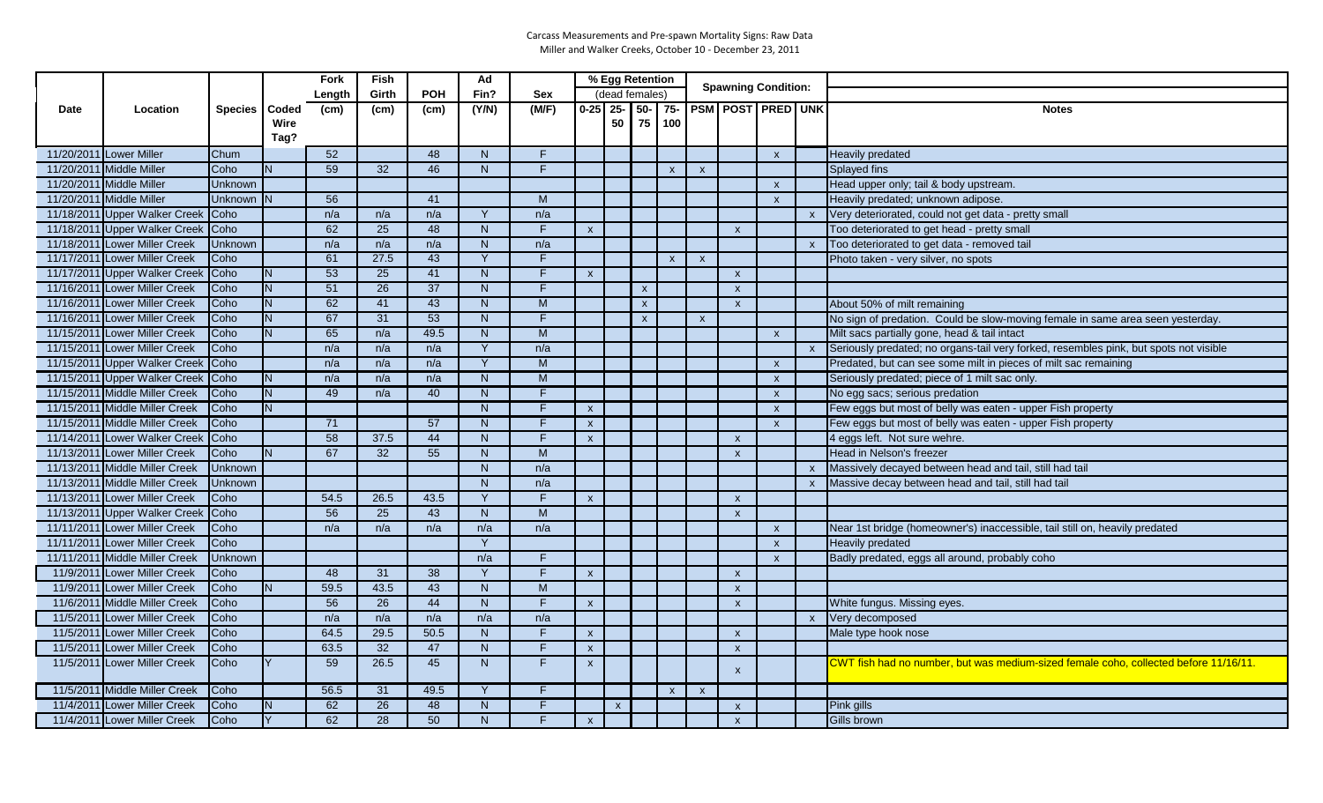|      |                                |                 |      | Fork   | Fish            |                 | Ad             |                |                           | % Egg Retention |                    |                           |              | <b>Spawning Condition:</b> |                           |              |                                                                                       |
|------|--------------------------------|-----------------|------|--------|-----------------|-----------------|----------------|----------------|---------------------------|-----------------|--------------------|---------------------------|--------------|----------------------------|---------------------------|--------------|---------------------------------------------------------------------------------------|
|      |                                |                 |      | Length | Girth           | <b>POH</b>      | Fin?           | <b>Sex</b>     |                           | (dead females)  |                    |                           |              |                            |                           |              |                                                                                       |
| Date | Location                       | Species   Coded |      | (cm)   | (cm)            | (cm)            | (Y/N)          | (M/F)          |                           | $0-25$ 25- 50-  |                    |                           |              |                            | 75- PSM POST PRED UNK     |              | <b>Notes</b>                                                                          |
|      |                                |                 | Wire |        |                 |                 |                |                |                           | 50              | 75                 | 100                       |              |                            |                           |              |                                                                                       |
|      |                                |                 | Tag? |        |                 |                 |                |                |                           |                 |                    |                           |              |                            |                           |              |                                                                                       |
|      | 11/20/2011 Lower Miller        | Chum            |      | 52     |                 | 48              | N              | F.             |                           |                 |                    |                           |              |                            | $\pmb{\mathsf{X}}$        |              | Heavily predated                                                                      |
|      | 11/20/2011 Middle Miller       | Coho            | N.   | 59     | 32 <sup>2</sup> | 46              | N              | F.             |                           |                 |                    | $\mathsf{x}$              | $\mathsf{x}$ |                            |                           |              | <b>Splayed fins</b>                                                                   |
|      | 11/20/2011 Middle Miller       | Unknown         |      |        |                 |                 |                |                |                           |                 |                    |                           |              |                            | $\boldsymbol{\mathsf{x}}$ |              | Head upper only; tail & body upstream.                                                |
|      | 11/20/2011 Middle Miller       | Unknown N       |      | 56     |                 | 41              |                | M              |                           |                 |                    |                           |              |                            | $\mathbf{x}$              |              | Heavily predated; unknown adipose.                                                    |
|      | 11/18/2011 Upper Walker Creek  | Coho            |      | n/a    | n/a             | n/a             | Y              | n/a            |                           |                 |                    |                           |              |                            |                           | $\mathsf{x}$ | Very deteriorated, could not get data - pretty small                                  |
|      | 11/18/2011 Upper Walker Creek  | Coho            |      | 62     | 25              | 48              | N              | F.             | $\boldsymbol{\mathsf{x}}$ |                 |                    |                           |              | $\boldsymbol{\mathsf{x}}$  |                           |              | Too deteriorated to get head - pretty small                                           |
|      | 11/18/2011 Lower Miller Creek  | Unknown         |      | n/a    | n/a             | n/a             | N              | n/a            |                           |                 |                    |                           |              |                            |                           | $\mathsf{X}$ | Too deteriorated to get data - removed tail                                           |
|      | 11/17/2011 Lower Miller Creek  | Coho            |      | 61     | 27.5            | 43              | Y              | F.             |                           |                 |                    | $\boldsymbol{\mathsf{x}}$ | $\mathsf{x}$ |                            |                           |              | Photo taken - very silver, no spots                                                   |
|      | 11/17/2011 Upper Walker Creek  | Coho            | N.   | 53     | 25              | 41              | N              | F.             | $\mathsf{x}$              |                 |                    |                           |              | $\mathsf{x}$               |                           |              |                                                                                       |
|      | 11/16/2011 Lower Miller Creek  | Coho            | N.   | 51     | 26              | 37              | N              | F.             |                           |                 | $\mathbf{x}$       |                           |              | $\mathsf{x}$               |                           |              |                                                                                       |
|      | 11/16/2011 Lower Miller Creek  | Coho            | N.   | 62     | 41              | 43              | N              | ${\sf M}$      |                           |                 | $\pmb{\mathsf{x}}$ |                           |              | $\mathsf{x}$               |                           |              | About 50% of milt remaining                                                           |
|      | 11/16/2011 Lower Miller Creek  | Coho            | N.   | 67     | 31              | 53              | N              | F.             |                           |                 | $\mathsf{x}$       |                           | $\mathsf{x}$ |                            |                           |              | No sign of predation. Could be slow-moving female in same area seen yesterday.        |
|      | 11/15/2011 Lower Miller Creek  | Coho            | N.   | 65     | n/a             | 49.5            | N              | $\overline{M}$ |                           |                 |                    |                           |              |                            | $\mathsf{x}$              |              | Milt sacs partially gone, head & tail intact                                          |
|      | 11/15/2011 Lower Miller Creek  | Coho            |      | n/a    | n/a             | n/a             | Y              | n/a            |                           |                 |                    |                           |              |                            |                           | $\mathbf{x}$ | Seriously predated; no organs-tail very forked, resembles pink, but spots not visible |
|      | 11/15/2011 Upper Walker Creek  | Coho            |      | n/a    | n/a             | n/a             | Y              | M              |                           |                 |                    |                           |              |                            | $\mathbf{x}$              |              | Predated, but can see some milt in pieces of milt sac remaining                       |
|      | 11/15/2011 Upper Walker Creek  | Coho            | N    | n/a    | n/a             | n/a             | N              | M              |                           |                 |                    |                           |              |                            | $\boldsymbol{\mathsf{x}}$ |              | Seriously predated; piece of 1 milt sac only.                                         |
|      | 11/15/2011 Middle Miller Creek | Coho            | N.   | 49     | n/a             | 40              | N              | F.             |                           |                 |                    |                           |              |                            | $\mathsf{x}$              |              | No egg sacs; serious predation                                                        |
|      | 11/15/2011 Middle Miller Creek | Coho            | N.   |        |                 |                 | N              | F.             | $\boldsymbol{\mathsf{x}}$ |                 |                    |                           |              |                            | $\pmb{\mathsf{x}}$        |              | Few eggs but most of belly was eaten - upper Fish property                            |
|      | 11/15/2011 Middle Miller Creek | Coho            |      | 71     |                 | $\overline{57}$ | $\overline{N}$ | F              | $\mathsf{x}$              |                 |                    |                           |              |                            | $\mathbf{x}$              |              | Few eggs but most of belly was eaten - upper Fish property                            |
|      | 11/14/2011 Lower Walker Creek  | Coho            |      | 58     | 37.5            | 44              | N              | F.             | $\mathsf{x}$              |                 |                    |                           |              | $\mathsf{x}$               |                           |              | 4 eggs left. Not sure wehre.                                                          |
|      | 11/13/2011 Lower Miller Creek  | Coho            |      | 67     | 32              | 55              | N              | M              |                           |                 |                    |                           |              | $\boldsymbol{\mathsf{x}}$  |                           |              | Head in Nelson's freezer                                                              |
|      | 11/13/2011 Middle Miller Creek | Unknown         |      |        |                 |                 | N              | n/a            |                           |                 |                    |                           |              |                            |                           | $\mathsf{x}$ | Massively decayed between head and tail, still had tail                               |
|      | 11/13/2011 Middle Miller Creek | Unknown         |      |        |                 |                 | N              | n/a            |                           |                 |                    |                           |              |                            |                           |              | Massive decay between head and tail, still had tail                                   |
|      | 11/13/2011 Lower Miller Creek  | Coho            |      | 54.5   | 26.5            | 43.5            | Y              | F              | $\mathsf{x}$              |                 |                    |                           |              | $\mathsf{x}$               |                           |              |                                                                                       |
|      | 11/13/2011 Upper Walker Creek  | Coho            |      | 56     | 25              | 43              | N              | M              |                           |                 |                    |                           |              | $\mathsf{x}$               |                           |              |                                                                                       |
|      | 11/11/2011 Lower Miller Creek  | Coho            |      | n/a    | n/a             | n/a             | n/a            | n/a            |                           |                 |                    |                           |              |                            | $\mathsf{x}$              |              | Near 1st bridge (homeowner's) inaccessible, tail still on, heavily predated           |
|      | 11/11/2011 Lower Miller Creek  | Coho            |      |        |                 |                 | Y              |                |                           |                 |                    |                           |              |                            | $\boldsymbol{\mathsf{x}}$ |              | <b>Heavily predated</b>                                                               |
|      | 11/11/2011 Middle Miller Creek | Unknown         |      |        |                 |                 | n/a            | F.             |                           |                 |                    |                           |              |                            | $\mathsf{x}$              |              | Badly predated, eggs all around, probably coho                                        |
|      | 11/9/2011 Lower Miller Creek   | Coho            |      | 48     | 31              | $\overline{38}$ | Y              | F              | $\mathsf{x}$              |                 |                    |                           |              | $\mathbf{x}$               |                           |              |                                                                                       |
|      | 11/9/2011 Lower Miller Creek   | Coho            | N.   | 59.5   | 43.5            | 43              | N              | M              |                           |                 |                    |                           |              | $\mathsf{x}$               |                           |              |                                                                                       |
|      | 11/6/2011 Middle Miller Creek  | Coho            |      | 56     | 26              | 44              | N              | F              | $\mathsf{x}$              |                 |                    |                           |              | $\mathbf{x}$               |                           |              | White fungus. Missing eyes.                                                           |
|      | 11/5/2011 Lower Miller Creek   | Coho            |      | n/a    | n/a             | n/a             | n/a            | n/a            |                           |                 |                    |                           |              |                            |                           | $\mathsf{x}$ | Very decomposed                                                                       |
|      | 11/5/2011 Lower Miller Creek   | Coho            |      | 64.5   | 29.5            | 50.5            | N              | F.             | $\pmb{\chi}$              |                 |                    |                           |              | $\mathbf{x}$               |                           |              | Male type hook nose                                                                   |
|      | 11/5/2011 Lower Miller Creek   | Coho            |      | 63.5   | 32              | 47              | N              | F              | $\mathsf{x}$              |                 |                    |                           |              | $\mathsf{x}$               |                           |              |                                                                                       |
|      | 11/5/2011 Lower Miller Creek   | Coho            |      | 59     | 26.5            | 45              | N              | F.             | $\mathsf{x}$              |                 |                    |                           |              | $\boldsymbol{\mathsf{x}}$  |                           |              | CWT fish had no number, but was medium-sized female coho, collected before 11/16/11.  |
|      |                                |                 |      |        |                 |                 | $\vee$         |                |                           |                 |                    |                           |              |                            |                           |              |                                                                                       |
|      | 11/5/2011 Middle Miller Creek  | Coho            |      | 56.5   | 31              | 49.5            |                | F              |                           |                 |                    | $\mathsf{x}$              | $\mathsf{x}$ |                            |                           |              |                                                                                       |
|      | 11/4/2011 Lower Miller Creek   | Coho            |      | 62     | 26              | 48              | N              | F.             |                           | $\mathsf{x}$    |                    |                           |              | $\boldsymbol{\mathsf{x}}$  |                           |              | Pink gills                                                                            |
|      | 11/4/2011 Lower Miller Creek   | Coho            |      | 62     | $\overline{28}$ | 50              | N              | F              | $\boldsymbol{\mathsf{x}}$ |                 |                    |                           |              | $\mathsf{x}$               |                           |              | <b>Gills brown</b>                                                                    |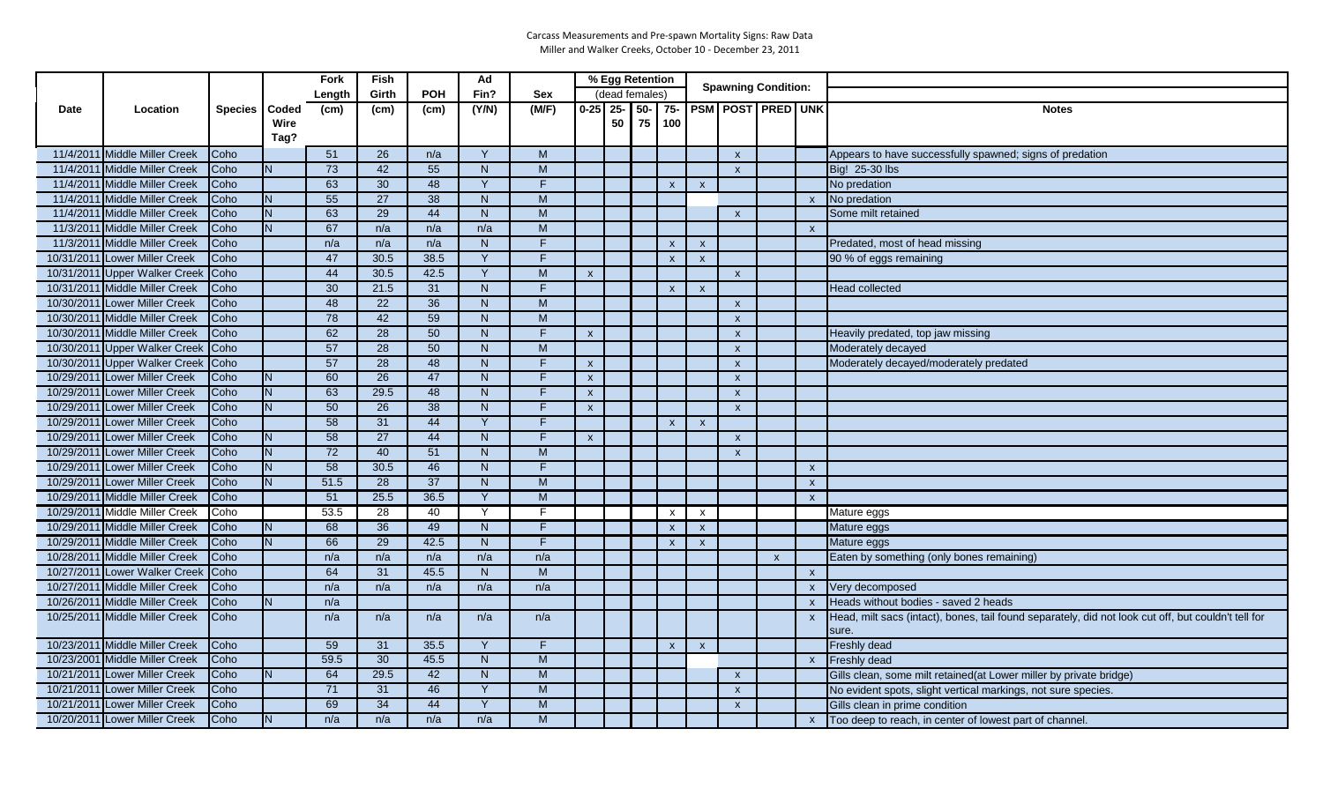|      |                                |             |       | Fork            | Fish            |                 | Ad             |                |                           | % Egg Retention |       |                           |                           | <b>Spawning Condition:</b> |                       |                           |                                                                                                     |
|------|--------------------------------|-------------|-------|-----------------|-----------------|-----------------|----------------|----------------|---------------------------|-----------------|-------|---------------------------|---------------------------|----------------------------|-----------------------|---------------------------|-----------------------------------------------------------------------------------------------------|
|      |                                |             |       | Length          | Girth           | <b>POH</b>      | Fin?           | <b>Sex</b>     |                           | (dead females)  |       |                           |                           |                            |                       |                           |                                                                                                     |
| Date | Location                       | Species     | Coded | (cm)            | (cm)            | (cm)            | (Y/N)          | (M/F)          | $0-25$ 25-                |                 | $50-$ |                           |                           |                            | 75- PSM POST PRED UNK |                           | <b>Notes</b>                                                                                        |
|      |                                |             | Wire  |                 |                 |                 |                |                |                           | 50              | 75    | 100                       |                           |                            |                       |                           |                                                                                                     |
|      |                                |             | Tag?  |                 |                 |                 |                |                |                           |                 |       |                           |                           |                            |                       |                           |                                                                                                     |
|      | 11/4/2011 Middle Miller Creek  | Coho        |       | 51              | 26              | n/a             | Y              | M              |                           |                 |       |                           |                           | $\mathsf{x}$               |                       |                           | Appears to have successfully spawned; signs of predation                                            |
|      | 11/4/2011 Middle Miller Creek  | Coho        |       | 73              | 42              | 55              | N.             | M              |                           |                 |       |                           |                           | $\boldsymbol{\mathsf{x}}$  |                       |                           | Big! 25-30 lbs                                                                                      |
|      | 11/4/2011 Middle Miller Creek  | Coho        |       | 63              | 30              | 48              | Y              | F              |                           |                 |       | $\boldsymbol{\mathsf{x}}$ | $\boldsymbol{\mathsf{x}}$ |                            |                       |                           | No predation                                                                                        |
|      | 11/4/2011 Middle Miller Creek  | Coho        | N     | 55              | 27              | 38              | N              | M              |                           |                 |       |                           |                           |                            |                       | $\mathbf{x}$              | No predation                                                                                        |
|      | 11/4/2011 Middle Miller Creek  | Coho        | N.    | 63              | 29              | 44              | N <sub>1</sub> | M              |                           |                 |       |                           |                           | $\boldsymbol{\mathsf{x}}$  |                       |                           | Some milt retained                                                                                  |
|      | 11/3/2011 Middle Miller Creek  | Coho        |       | 67              | n/a             | n/a             | n/a            | M              |                           |                 |       |                           |                           |                            |                       | $\mathbf{x}$              |                                                                                                     |
|      | 11/3/2011 Middle Miller Creek  | Coho        |       | n/a             | n/a             | n/a             | N              | F              |                           |                 |       | $\mathsf{x}$              | $\mathsf{x}$              |                            |                       |                           | Predated, most of head missing                                                                      |
|      | 10/31/2011 Lower Miller Creek  | Coho        |       | 47              | 30.5            | 38.5            | Y              | F              |                           |                 |       | $\pmb{\mathsf{x}}$        | $\mathsf{x}$              |                            |                       |                           | 90 % of eggs remaining                                                                              |
|      | 10/31/2011 Upper Walker Creek  | Coho        |       | 44              | 30.5            | 42.5            | Y              | M              | $\boldsymbol{\mathsf{x}}$ |                 |       |                           |                           | $\mathsf{x}$               |                       |                           |                                                                                                     |
|      | 10/31/2011 Middle Miller Creek | Coho        |       | 30              | 21.5            | 31              | N <sub>1</sub> | F              |                           |                 |       | $\mathsf{x}$              | $\mathsf{x}$              |                            |                       |                           | <b>Head collected</b>                                                                               |
|      | 10/30/2011 Lower Miller Creek  | Coho        |       | 48              | 22              | 36              | N <sub>1</sub> | M              |                           |                 |       |                           |                           | $\boldsymbol{\mathsf{x}}$  |                       |                           |                                                                                                     |
|      | 10/30/2011 Middle Miller Creek | Coho        |       | $\overline{78}$ | 42              | 59              | N              | M              |                           |                 |       |                           |                           | $\boldsymbol{\mathsf{x}}$  |                       |                           |                                                                                                     |
|      | 10/30/2011 Middle Miller Creek | Coho        |       | 62              | 28              | 50              | N              | F              | $\mathsf{x}$              |                 |       |                           |                           | $\mathsf{x}$               |                       |                           | Heavily predated, top jaw missing                                                                   |
|      | 10/30/2011 Upper Walker Creek  | <b>Coho</b> |       | 57              | $\overline{28}$ | $\overline{50}$ | N <sub>1</sub> | $\overline{M}$ |                           |                 |       |                           |                           | $\mathsf{x}$               |                       |                           | Moderately decayed                                                                                  |
|      | 10/30/2011 Upper Walker Creek  | Coho        |       | 57              | 28              | 48              | N <sub>1</sub> | F              | $\boldsymbol{\mathsf{x}}$ |                 |       |                           |                           | $\boldsymbol{\mathsf{x}}$  |                       |                           | Moderately decayed/moderately predated                                                              |
|      | 10/29/2011 Lower Miller Creek  | Coho        | N     | 60              | $\overline{26}$ | 47              | N              | F              | $\mathsf{x}$              |                 |       |                           |                           | $\boldsymbol{\mathsf{x}}$  |                       |                           |                                                                                                     |
|      | 10/29/2011 Lower Miller Creek  | Coho        | N     | 63              | 29.5            | 48              | N              | F              | $\mathsf{x}$              |                 |       |                           |                           | $\mathsf{x}$               |                       |                           |                                                                                                     |
|      | 10/29/2011 Lower Miller Creek  | Coho        |       | 50              | $\overline{26}$ | 38              | N.             | F              | $\mathsf{x}$              |                 |       |                           |                           | $\mathsf{x}$               |                       |                           |                                                                                                     |
|      | 10/29/2011 Lower Miller Creek  | Coho        |       | 58              | 31              | 44              | Y              | F              |                           |                 |       | $\mathsf{x}$              | $\mathsf{x}$              |                            |                       |                           |                                                                                                     |
|      | 10/29/2011 Lower Miller Creek  | Coho        | N     | 58              | 27              | 44              | N              | F              | $\mathbf{x}$              |                 |       |                           |                           | $\mathsf{x}$               |                       |                           |                                                                                                     |
|      | 10/29/2011 Lower Miller Creek  | Coho        | N.    | 72              | 40              | 51              | N              | M              |                           |                 |       |                           |                           | $\mathsf{x}$               |                       |                           |                                                                                                     |
|      | 10/29/2011 Lower Miller Creek  | Coho        | N     | 58              | 30.5            | 46              | N              | F              |                           |                 |       |                           |                           |                            |                       | $\mathsf{x}$              |                                                                                                     |
|      | 10/29/2011 Lower Miller Creek  | Coho        | N     | 51.5            | $\overline{28}$ | 37              | N              | M              |                           |                 |       |                           |                           |                            |                       | $\boldsymbol{\mathsf{x}}$ |                                                                                                     |
|      | 10/29/2011 Middle Miller Creek | Coho        |       | 51              | 25.5            | 36.5            | Y              | $\overline{M}$ |                           |                 |       |                           |                           |                            |                       | $\mathsf{x}$              |                                                                                                     |
|      | 10/29/2011 Middle Miller Creek | Coho        |       | 53.5            | $\overline{28}$ | 40              | Y              | F              |                           |                 |       | $\mathsf{x}$              | $\mathsf{x}$              |                            |                       |                           | Mature eggs                                                                                         |
|      | 10/29/2011 Middle Miller Creek | Coho        | N     | 68              | 36              | 49              | N              | F              |                           |                 |       | $\mathsf{x}$              | $\mathsf{x}$              |                            |                       |                           | Mature eggs                                                                                         |
|      | 10/29/2011 Middle Miller Creek | Coho        | N     | 66              | 29              | 42.5            | N              | F              |                           |                 |       | $\mathsf{x}$              | $\boldsymbol{\mathsf{x}}$ |                            |                       |                           | Mature eggs                                                                                         |
|      | 10/28/2011 Middle Miller Creek | Coho        |       | n/a             | n/a             | n/a             | n/a            | n/a            |                           |                 |       |                           |                           |                            | $\mathsf{x}$          |                           | Eaten by something (only bones remaining)                                                           |
|      | 10/27/2011 Lower Walker Creek  | Coho        |       | 64              | 31              | 45.5            | N              | M              |                           |                 |       |                           |                           |                            |                       | $\mathsf{x}$              |                                                                                                     |
|      | 10/27/2011 Middle Miller Creek | Coho        |       | n/a             | n/a             | n/a             | n/a            | n/a            |                           |                 |       |                           |                           |                            |                       | $\mathsf{x}$              | Very decomposed                                                                                     |
|      | 10/26/2011 Middle Miller Creek | Coho        | N.    | n/a             |                 |                 |                |                |                           |                 |       |                           |                           |                            |                       | $\mathsf{x}$              | Heads without bodies - saved 2 heads                                                                |
|      | 10/25/2011 Middle Miller Creek | Coho        |       | n/a             | n/a             | n/a             | n/a            | n/a            |                           |                 |       |                           |                           |                            |                       | $\mathsf{x}$              | Head, milt sacs (intact), bones, tail found separately, did not look cut off, but couldn't tell for |
|      |                                |             |       |                 |                 |                 |                |                |                           |                 |       |                           |                           |                            |                       |                           | sure.                                                                                               |
|      | 10/23/2011 Middle Miller Creek | Coho        |       | 59              | 31              | 35.5            | Y              | F              |                           |                 |       | $\mathsf{x}$              | $\mathsf{x}$              |                            |                       |                           | <b>Freshly dead</b>                                                                                 |
|      | 10/23/2001 Middle Miller Creek | Coho        |       | 59.5            | 30              | 45.5            | N              | $\overline{M}$ |                           |                 |       |                           |                           |                            |                       | $\mathsf{X}$              | <b>Freshly dead</b>                                                                                 |
|      | 10/21/2011 Lower Miller Creek  | Coho        | N.    | 64              | 29.5            | 42              | N              | M              |                           |                 |       |                           |                           | $\boldsymbol{\mathsf{x}}$  |                       |                           | Gills clean, some milt retained(at Lower miller by private bridge)                                  |
|      | 10/21/2011 Lower Miller Creek  | Coho        |       | 71              | 31              | 46              | Y              | M              |                           |                 |       |                           |                           | $\boldsymbol{\mathsf{x}}$  |                       |                           | No evident spots, slight vertical markings, not sure species.                                       |
|      | 10/21/2011 Lower Miller Creek  | Coho        |       | 69              | 34              | 44              | Y              | M              |                           |                 |       |                           |                           | $\boldsymbol{\mathsf{x}}$  |                       |                           | Gills clean in prime condition                                                                      |
|      | 10/20/2011 Lower Miller Creek  | Coho        |       | n/a             | n/a             | n/a             | n/a            | M              |                           |                 |       |                           |                           |                            |                       | $\mathsf{x}$              | Too deep to reach, in center of lowest part of channel.                                             |